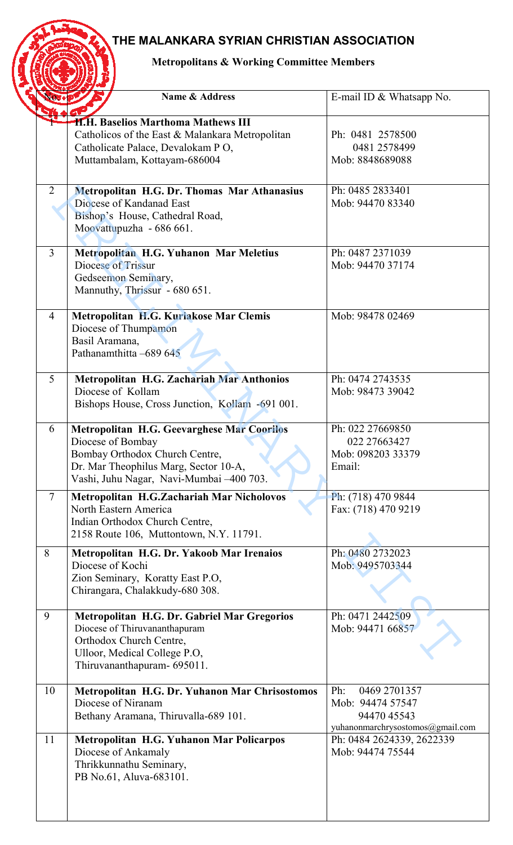## **THE MALANKARA SYRIAN CHRISTIAN ASSOCIATION**

## **Metropolitans & Working Committee Members**

| <b>Metropolitans &amp; Working Committee Members</b> |                |                                                                                                                                                                                               |                                                                                            |  |
|------------------------------------------------------|----------------|-----------------------------------------------------------------------------------------------------------------------------------------------------------------------------------------------|--------------------------------------------------------------------------------------------|--|
|                                                      |                | <b>Name &amp; Address</b>                                                                                                                                                                     | E-mail ID $& What \rightarrow No.$                                                         |  |
|                                                      |                | H.H. Baselios Marthoma Mathews III<br>Catholicos of the East & Malankara Metropolitan<br>Catholicate Palace, Devalokam PO,<br>Muttambalam, Kottayam-686004                                    | Ph: 0481 2578500<br>0481 2578499<br>Mob: 8848689088                                        |  |
|                                                      | 2              | Metropolitan H.G. Dr. Thomas Mar Athanasius<br>Diocese of Kandanad East<br>Bishop's House, Cathedral Road,<br>Moovattupuzha - 686 661.                                                        | Ph: 0485 2833401<br>Mob: 94470 83340                                                       |  |
|                                                      | $\overline{3}$ | Metropolitan H.G. Yuhanon Mar Meletius<br><b>Diocese of Trissur</b><br>Gedseemon Seminary,<br>Mannuthy, Thrissur - 680 651.                                                                   | Ph: 0487 2371039<br>Mob: 94470 37174                                                       |  |
|                                                      | $\overline{4}$ | Metropolitan H.G. Kuriakose Mar Clemis<br>Diocese of Thumpamon<br>Basil Aramana,<br>Pathanamthitta -689 645                                                                                   | Mob: 98478 02469                                                                           |  |
|                                                      | 5              | Metropolitan H.G. Zachariah Mar Anthonios<br>Diocese of Kollam<br>Bishops House, Cross Junction, Kollam -691 001.                                                                             | Ph: 0474 2743535<br>Mob: 98473 39042                                                       |  |
|                                                      | 6              | <b>Metropolitan H.G. Geevarghese Mar Coorilos</b><br>Diocese of Bombay<br>Bombay Orthodox Church Centre,<br>Dr. Mar Theophilus Marg, Sector 10-A,<br>Vashi, Juhu Nagar, Navi-Mumbai -400 703. | Ph: 022 27669850<br>022 27663427<br>Mob: 098203 33379<br>Email:                            |  |
|                                                      | $\tau$         | Metropolitan H.G.Zachariah Mar Nicholovos<br>North Eastern America<br>Indian Orthodox Church Centre,<br>2158 Route 106, Muttontown, N.Y. 11791.                                               | Ph: (718) 470 9844<br>Fax: (718) 470 9219                                                  |  |
|                                                      | 8              | Metropolitan H.G. Dr. Yakoob Mar Irenaios<br>Diocese of Kochi<br>Zion Seminary, Koratty East P.O,<br>Chirangara, Chalakkudy-680 308.                                                          | Ph: 0480 2732023<br>Mob: 9495703344                                                        |  |
|                                                      | 9              | Metropolitan H.G. Dr. Gabriel Mar Gregorios<br>Diocese of Thiruvananthapuram<br>Orthodox Church Centre,<br>Ulloor, Medical College P.O,<br>Thiruvananthapuram- 695011.                        | Ph: 0471 2442509<br>Mob: 94471 66857                                                       |  |
|                                                      | 10             | Metropolitan H.G. Dr. Yuhanon Mar Chrisostomos<br>Diocese of Niranam<br>Bethany Aramana, Thiruvalla-689 101.                                                                                  | Ph:<br>0469 2701357<br>Mob: 94474 57547<br>94470 45543<br>yuhanonmarchrysostomos@gmail.com |  |
|                                                      | 11             | Metropolitan H.G. Yuhanon Mar Policarpos<br>Diocese of Ankamaly<br>Thrikkunnathu Seminary,<br>PB No.61, Aluva-683101.                                                                         | Ph: 0484 2624339, 2622339<br>Mob: 94474 75544                                              |  |
|                                                      |                |                                                                                                                                                                                               |                                                                                            |  |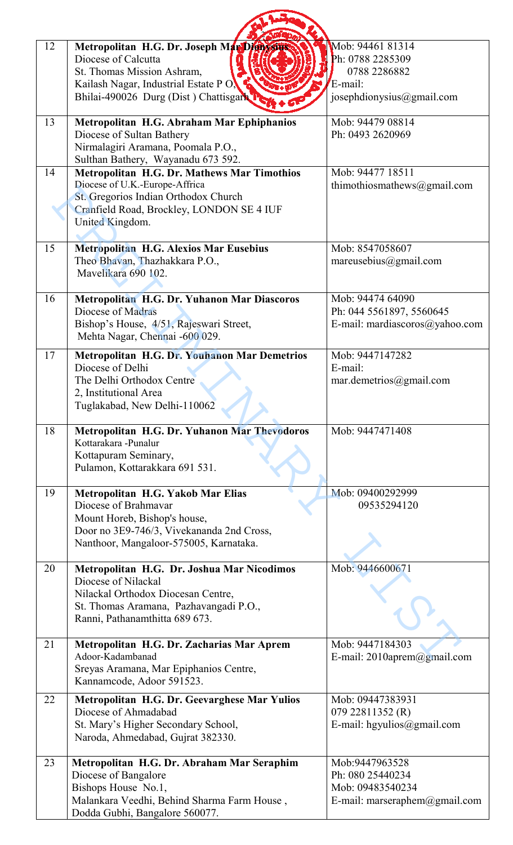| 12 | Metropolitan H.G. Dr. Joseph Man Digital<br>Diocese of Calcutta<br>St. Thomas Mission Ashram,<br>Kailash Nagar, Industrial Estate PO,<br>Bhilai-490026 Durg (Dist ) Chattisgark T            | Mob: 94461 81314<br>Ph: 0788 2285309<br>0788 2286882<br>E-mail:<br>josephdionysius@gmail.com      |
|----|----------------------------------------------------------------------------------------------------------------------------------------------------------------------------------------------|---------------------------------------------------------------------------------------------------|
| 13 | Metropolitan H.G. Abraham Mar Ephiphanios<br>Diocese of Sultan Bathery<br>Nirmalagiri Aramana, Poomala P.O.,<br>Sulthan Bathery, Wayanadu 673 592.                                           | Mob: 94479 08814<br>Ph: 0493 2620969                                                              |
| 14 | <b>Metropolitan H.G. Dr. Mathews Mar Timothios</b><br>Diocese of U.K.-Europe-Affrica<br>St. Gregorios Indian Orthodox Church<br>Cranfield Road, Brockley, LONDON SE 4 IUF<br>United Kingdom. | Mob: 94477 18511<br>thimothiosmathews@gmail.com                                                   |
| 15 | <b>Metropolitan H.G. Alexios Mar Eusebius</b><br>Theo Bhavan, Thazhakkara P.O.,<br>Mavelikara 690 102.                                                                                       | Mob: 8547058607<br>mareusebius@gmail.com                                                          |
| 16 | Metropolitan H.G. Dr. Yuhanon Mar Diascoros<br>Diocese of Madras<br>Bishop's House, 4/51, Rajeswari Street,<br>Mehta Nagar, Chennai -600 029.                                                | Mob: 94474 64090<br>Ph: 044 5561897, 5560645<br>E-mail: mardiascoros@yahoo.com                    |
| 17 | Metropolitan H.G. Dr. Youhanon Mar Demetrios<br>Diocese of Delhi<br>The Delhi Orthodox Centre<br>2, Institutional Area<br>Tuglakabad, New Delhi-110062                                       | Mob: 9447147282<br>E-mail:<br>mar.demetrios(ægmail.com)                                           |
| 18 | Metropolitan H.G. Dr. Yuhanon Mar Thevodoros<br>Kottarakara -Punalur<br>Kottapuram Seminary,<br>Pulamon, Kottarakkara 691 531.                                                               | Mob: 9447471408                                                                                   |
| 19 | Metropolitan H.G. Yakob Mar Elias<br>Diocese of Brahmavar<br>Mount Horeb, Bishop's house,<br>Door no 3E9-746/3, Vivekananda 2nd Cross,<br>Nanthoor, Mangaloor-575005, Karnataka.             | Mob: 09400292999<br>09535294120                                                                   |
| 20 | Metropolitan H.G. Dr. Joshua Mar Nicodimos<br>Diocese of Nilackal<br>Nilackal Orthodox Diocesan Centre,<br>St. Thomas Aramana, Pazhavangadi P.O.,<br>Ranni, Pathanamthitta 689 673.          | Mob: 9446600671                                                                                   |
| 21 | Metropolitan H.G. Dr. Zacharias Mar Aprem<br>Adoor-Kadambanad<br>Sreyas Aramana, Mar Epiphanios Centre,<br>Kannamcode, Adoor 591523.                                                         | Mob: 9447184303<br>E-mail: $2010$ aprem $@g$ mail.com                                             |
| 22 | Metropolitan H.G. Dr. Geevarghese Mar Yulios<br>Diocese of Ahmadabad<br>St. Mary's Higher Secondary School,<br>Naroda, Ahmedabad, Gujrat 382330.                                             | Mob: 09447383931<br>079 22811352 (R)<br>E-mail: hgyulios@gmail.com                                |
| 23 | Metropolitan H.G. Dr. Abraham Mar Seraphim<br>Diocese of Bangalore<br>Bishops House No.1,<br>Malankara Veedhi, Behind Sharma Farm House,<br>Dodda Gubhi, Bangalore 560077.                   | Mob:9447963528<br>Ph: 080 25440234<br>Mob: 09483540234<br>E-mail: marseraphem $(\omega$ gmail.com |